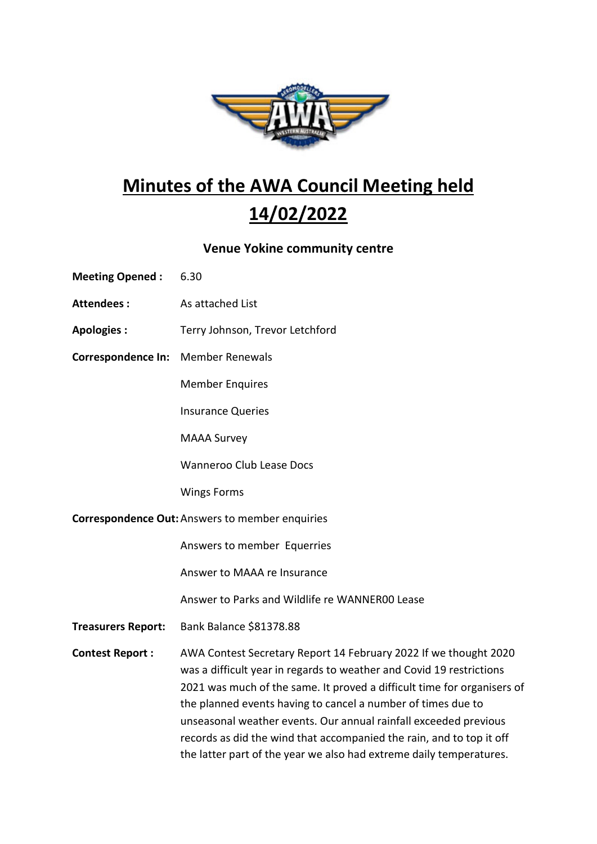

## Minutes of the AWA Council Meeting held 14/02/2022

## Venue Yokine community centre

| <b>Meeting Opened:</b>                                 | 6.30                                                                                                                                                                                                                                                                                                                                                                                                                                                                                                   |
|--------------------------------------------------------|--------------------------------------------------------------------------------------------------------------------------------------------------------------------------------------------------------------------------------------------------------------------------------------------------------------------------------------------------------------------------------------------------------------------------------------------------------------------------------------------------------|
| <b>Attendees:</b>                                      | As attached List                                                                                                                                                                                                                                                                                                                                                                                                                                                                                       |
| <b>Apologies:</b>                                      | Terry Johnson, Trevor Letchford                                                                                                                                                                                                                                                                                                                                                                                                                                                                        |
| <b>Correspondence In:</b>                              | <b>Member Renewals</b>                                                                                                                                                                                                                                                                                                                                                                                                                                                                                 |
|                                                        | <b>Member Enquires</b>                                                                                                                                                                                                                                                                                                                                                                                                                                                                                 |
|                                                        | <b>Insurance Queries</b>                                                                                                                                                                                                                                                                                                                                                                                                                                                                               |
|                                                        | <b>MAAA Survey</b>                                                                                                                                                                                                                                                                                                                                                                                                                                                                                     |
|                                                        | <b>Wanneroo Club Lease Docs</b>                                                                                                                                                                                                                                                                                                                                                                                                                                                                        |
|                                                        | <b>Wings Forms</b>                                                                                                                                                                                                                                                                                                                                                                                                                                                                                     |
| <b>Correspondence Out: Answers to member enquiries</b> |                                                                                                                                                                                                                                                                                                                                                                                                                                                                                                        |
|                                                        | Answers to member Equerries                                                                                                                                                                                                                                                                                                                                                                                                                                                                            |
|                                                        | Answer to MAAA re Insurance                                                                                                                                                                                                                                                                                                                                                                                                                                                                            |
|                                                        | Answer to Parks and Wildlife re WANNER00 Lease                                                                                                                                                                                                                                                                                                                                                                                                                                                         |
| <b>Treasurers Report:</b>                              | Bank Balance \$81378.88                                                                                                                                                                                                                                                                                                                                                                                                                                                                                |
| <b>Contest Report:</b>                                 | AWA Contest Secretary Report 14 February 2022 If we thought 2020<br>was a difficult year in regards to weather and Covid 19 restrictions<br>2021 was much of the same. It proved a difficult time for organisers of<br>the planned events having to cancel a number of times due to<br>unseasonal weather events. Our annual rainfall exceeded previous<br>records as did the wind that accompanied the rain, and to top it off<br>the latter part of the year we also had extreme daily temperatures. |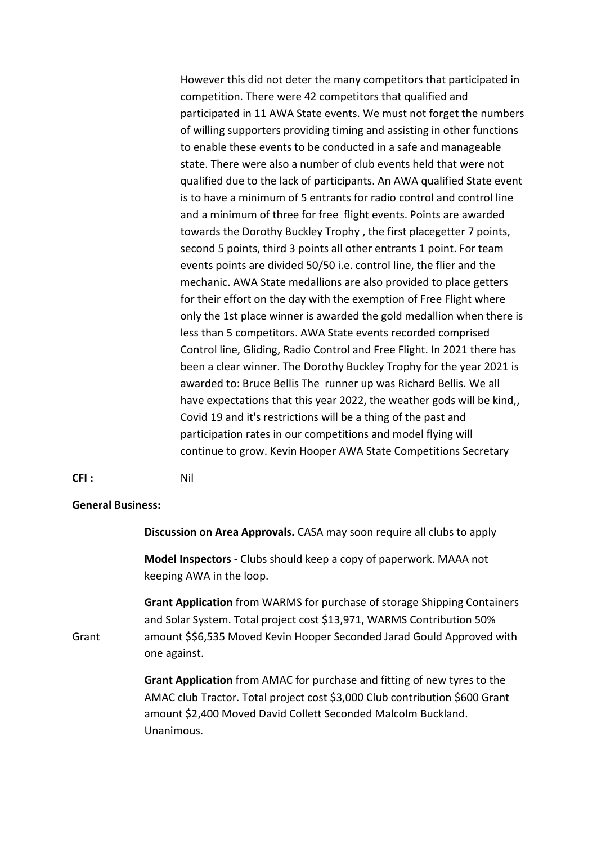However this did not deter the many competitors that participated in competition. There were 42 competitors that qualified and participated in 11 AWA State events. We must not forget the numbers of willing supporters providing timing and assisting in other functions to enable these events to be conducted in a safe and manageable state. There were also a number of club events held that were not qualified due to the lack of participants. An AWA qualified State event is to have a minimum of 5 entrants for radio control and control line and a minimum of three for free flight events. Points are awarded towards the Dorothy Buckley Trophy , the first placegetter 7 points, second 5 points, third 3 points all other entrants 1 point. For team events points are divided 50/50 i.e. control line, the flier and the mechanic. AWA State medallions are also provided to place getters for their effort on the day with the exemption of Free Flight where only the 1st place winner is awarded the gold medallion when there is less than 5 competitors. AWA State events recorded comprised Control line, Gliding, Radio Control and Free Flight. In 2021 there has been a clear winner. The Dorothy Buckley Trophy for the year 2021 is awarded to: Bruce Bellis The runner up was Richard Bellis. We all have expectations that this year 2022, the weather gods will be kind,, Covid 19 and it's restrictions will be a thing of the past and participation rates in our competitions and model flying will continue to grow. Kevin Hooper AWA State Competitions Secretary

## CFI : Nil

## General Business:

Discussion on Area Approvals. CASA may soon require all clubs to apply

 Model Inspectors - Clubs should keep a copy of paperwork. MAAA not keeping AWA in the loop.

 Grant Application from WARMS for purchase of storage Shipping Containers and Solar System. Total project cost \$13,971, WARMS Contribution 50% Grant amount \$\$6,535 Moved Kevin Hooper Seconded Jarad Gould Approved with one against.

> Grant Application from AMAC for purchase and fitting of new tyres to the AMAC club Tractor. Total project cost \$3,000 Club contribution \$600 Grant amount \$2,400 Moved David Collett Seconded Malcolm Buckland. Unanimous.